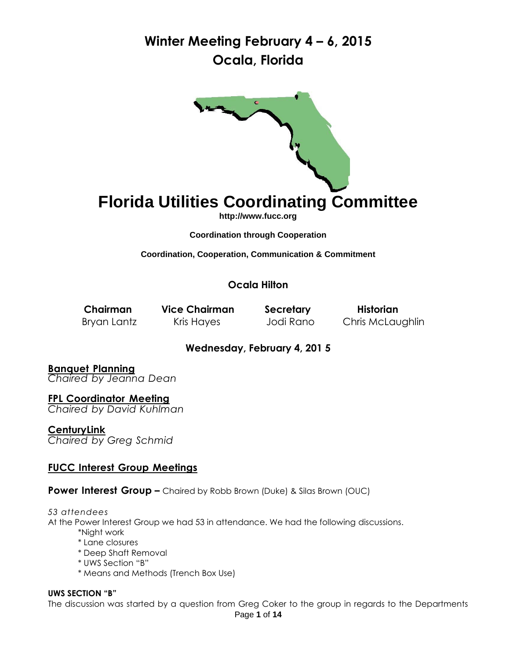

# **Florida Utilities Coordinating Committee**

**[http://www.fucc.org](http://www.fucc.org/)**

**Coordination through Cooperation**

**Coordination, Cooperation, Communication & Commitment**

**Ocala Hilton**

**Chairman Vice Chairman Secretary Historian** Bryan Lantz Kris Hayes Jodi Rano Chris McLaughlin

### **Wednesday, February 4, 201 5**

**Banquet Planning** *Chaired by Jeanna Dean*

**FPL Coordinator Meeting** *Chaired by David Kuhlman*

**CenturyLink** *Chaired by Greg Schmid*

### **FUCC Interest Group Meetings**

**Power Interest Group –** Chaired by Robb Brown (Duke) & Silas Brown (OUC)

#### *53 attendees*

At the Power Interest Group we had 53 in attendance. We had the following discussions.

- \*Night work
- \* Lane closures
- \* Deep Shaft Removal
- \* UWS Section "B"
- \* Means and Methods (Trench Box Use)

#### **UWS SECTION "B"**

The discussion was started by a question from Greg Coker to the group in regards to the Departments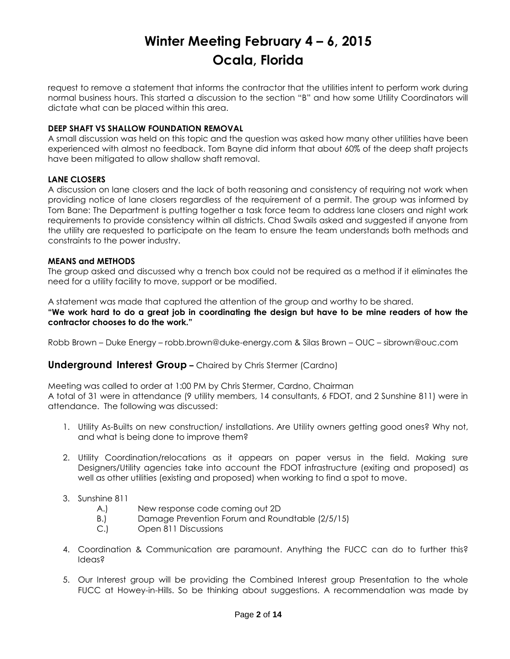request to remove a statement that informs the contractor that the utilities intent to perform work during normal business hours. This started a discussion to the section "B" and how some Utility Coordinators will dictate what can be placed within this area.

#### **DEEP SHAFT VS SHALLOW FOUNDATION REMOVAL**

A small discussion was held on this topic and the question was asked how many other utilities have been experienced with almost no feedback. Tom Bayne did inform that about 60% of the deep shaft projects have been mitigated to allow shallow shaft removal.

#### **LANE CLOSERS**

A discussion on lane closers and the lack of both reasoning and consistency of requiring not work when providing notice of lane closers regardless of the requirement of a permit. The group was informed by Tom Bane: The Department is putting together a task force team to address lane closers and night work requirements to provide consistency within all districts. Chad Swails asked and suggested if anyone from the utility are requested to participate on the team to ensure the team understands both methods and constraints to the power industry.

#### **MEANS and METHODS**

The group asked and discussed why a trench box could not be required as a method if it eliminates the need for a utility facility to move, support or be modified.

A statement was made that captured the attention of the group and worthy to be shared.

**"We work hard to do a great job in coordinating the design but have to be mine readers of how the contractor chooses to do the work."** 

Robb Brown – Duke Energy – [robb.brown@duke-energy.com](mailto:robb.brown@duke-energy.com) & Silas Brown – OUC – [sibrown@ouc.com](mailto:sibrown@ouc.com)

#### **Underground Interest Group –** Chaired by Chris Stermer (Cardno)

Meeting was called to order at 1:00 PM by Chris Stermer, Cardno, Chairman A total of 31 were in attendance (9 utility members, 14 consultants, 6 FDOT, and 2 Sunshine 811) were in attendance. The following was discussed:

- 1. Utility As-Builts on new construction/ installations. Are Utility owners getting good ones? Why not, and what is being done to improve them?
- 2. Utility Coordination/relocations as it appears on paper versus in the field. Making sure Designers/Utility agencies take into account the FDOT infrastructure (exiting and proposed) as well as other utilities (existing and proposed) when working to find a spot to move.
- 3. Sunshine 811
	- A.) New response code coming out 2D
	- B.) Damage Prevention Forum and Roundtable (2/5/15)
	- C.) Open 811 Discussions
- 4. Coordination & Communication are paramount. Anything the FUCC can do to further this? Ideas?
- 5. Our Interest group will be providing the Combined Interest group Presentation to the whole FUCC at Howey-in-Hills. So be thinking about suggestions. A recommendation was made by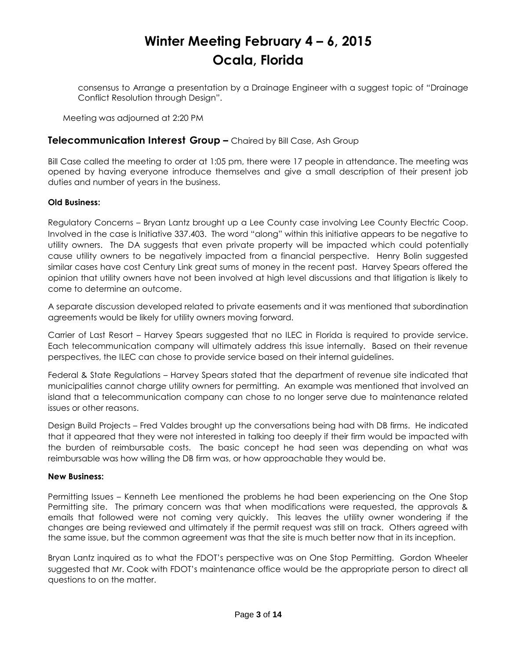consensus to Arrange a presentation by a Drainage Engineer with a suggest topic of "Drainage Conflict Resolution through Design".

Meeting was adjourned at 2:20 PM

#### **Telecommunication Interest Group –** Chaired by Bill Case, Ash Group

Bill Case called the meeting to order at 1:05 pm, there were 17 people in attendance. The meeting was opened by having everyone introduce themselves and give a small description of their present job duties and number of years in the business.

#### **Old Business:**

Regulatory Concerns – Bryan Lantz brought up a Lee County case involving Lee County Electric Coop. Involved in the case is Initiative 337.403. The word "along" within this initiative appears to be negative to utility owners. The DA suggests that even private property will be impacted which could potentially cause utility owners to be negatively impacted from a financial perspective. Henry Bolin suggested similar cases have cost Century Link great sums of money in the recent past. Harvey Spears offered the opinion that utility owners have not been involved at high level discussions and that litigation is likely to come to determine an outcome.

A separate discussion developed related to private easements and it was mentioned that subordination agreements would be likely for utility owners moving forward.

Carrier of Last Resort – Harvey Spears suggested that no ILEC in Florida is required to provide service. Each telecommunication company will ultimately address this issue internally. Based on their revenue perspectives, the ILEC can chose to provide service based on their internal guidelines.

Federal & State Regulations – Harvey Spears stated that the department of revenue site indicated that municipalities cannot charge utility owners for permitting. An example was mentioned that involved an island that a telecommunication company can chose to no longer serve due to maintenance related issues or other reasons.

Design Build Projects – Fred Valdes brought up the conversations being had with DB firms. He indicated that it appeared that they were not interested in talking too deeply if their firm would be impacted with the burden of reimbursable costs. The basic concept he had seen was depending on what was reimbursable was how willing the DB firm was, or how approachable they would be.

#### **New Business:**

Permitting Issues – Kenneth Lee mentioned the problems he had been experiencing on the One Stop Permitting site. The primary concern was that when modifications were requested, the approvals & emails that followed were not coming very quickly. This leaves the utility owner wondering if the changes are being reviewed and ultimately if the permit request was still on track. Others agreed with the same issue, but the common agreement was that the site is much better now that in its inception.

Bryan Lantz inquired as to what the FDOT's perspective was on One Stop Permitting. Gordon Wheeler suggested that Mr. Cook with FDOT's maintenance office would be the appropriate person to direct all questions to on the matter.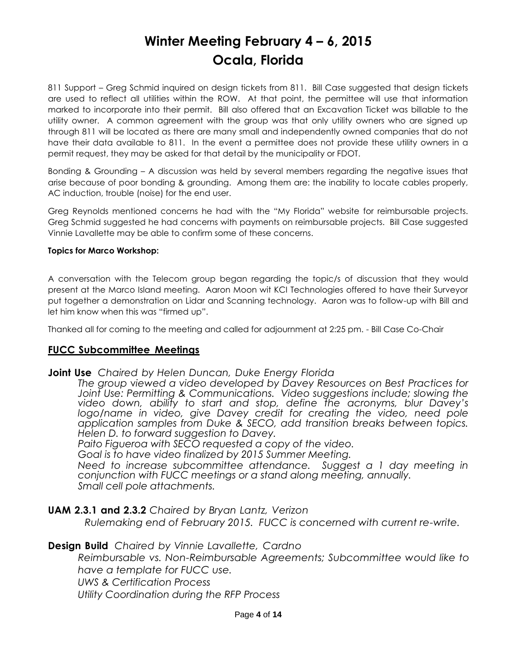811 Support – Greg Schmid inquired on design tickets from 811. Bill Case suggested that design tickets are used to reflect all utilities within the ROW. At that point, the permittee will use that information marked to incorporate into their permit. Bill also offered that an Excavation Ticket was billable to the utility owner. A common agreement with the group was that only utility owners who are signed up through 811 will be located as there are many small and independently owned companies that do not have their data available to 811. In the event a permittee does not provide these utility owners in a permit request, they may be asked for that detail by the municipality or FDOT.

Bonding & Grounding – A discussion was held by several members regarding the negative issues that arise because of poor bonding & grounding. Among them are: the inability to locate cables properly, AC induction, trouble (noise) for the end user.

Greg Reynolds mentioned concerns he had with the "My Florida" website for reimbursable projects. Greg Schmid suggested he had concerns with payments on reimbursable projects. Bill Case suggested Vinnie Lavallette may be able to confirm some of these concerns.

#### **Topics for Marco Workshop:**

A conversation with the Telecom group began regarding the topic/s of discussion that they would present at the Marco Island meeting. Aaron Moon wit KCI Technologies offered to have their Surveyor put together a demonstration on Lidar and Scanning technology. Aaron was to follow-up with Bill and let him know when this was "firmed up".

Thanked all for coming to the meeting and called for adjournment at 2:25 pm. - Bill Case Co-Chair

### **FUCC Subcommittee Meetings**

### **Joint Use** *Chaired by Helen Duncan, Duke Energy Florida*

*The group* v*iewed a video developed by Davey Resources on Best Practices for Joint Use: Permitting & Communications. Video suggestions include; slowing the video down, ability to start and stop, define the acronyms, blur Davey's*  logo/name in video, give Davey credit for creating the video, need pole *application samples from Duke & SECO, add transition breaks between topics. Helen D. to forward suggestion to Davey.*

*Paito Figueroa with SECO requested a copy of the video.*

*Goal is to have video finalized by 2015 Summer Meeting.*

*Need to increase subcommittee attendance. Suggest a 1 day meeting in conjunction with FUCC meetings or a stand along meeting, annually. Small cell pole attachments.*

### **UAM 2.3.1 and 2.3.2** *Chaired by Bryan Lantz, Verizon*

*Rulemaking end of February 2015. FUCC is concerned with current re-write.* 

### **Design Build** *Chaired by Vinnie Lavallette, Cardno*

*Reimbursable vs. Non-Reimbursable Agreements; Subcommittee would like to have a template for FUCC use.*

*UWS & Certification Process*

*Utility Coordination during the RFP Process*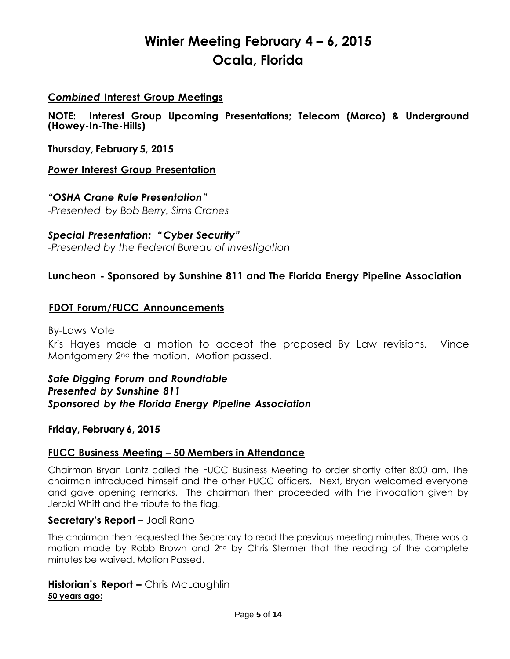### *Combined* **Interest Group Meetings**

**NOTE: Interest Group Upcoming Presentations; Telecom (Marco) & Underground (Howey-In-The-Hills)**

**Thursday, February 5, 2015**

### *Power* **Interest Group Presentation**

## *"OSHA Crane Rule Presentation"*

*-Presented by Bob Berry, Sims Cranes*

*Special Presentation: " Cyber Security" -Presented by the Federal Bureau of Investigation*

## **Luncheon - Sponsored by Sunshine 811 and The Florida Energy Pipeline Association**

### **FDOT Forum/FUCC Announcements**

By-Laws Vote

Kris Hayes made a motion to accept the proposed By Law revisions. Vince Montgomery 2nd the motion. Motion passed.

*Safe Digging Forum and Roundtable Presented by Sunshine 811 Sponsored by the Florida Energy Pipeline Association*

### **Friday, February 6, 2015**

### **FUCC Business Meeting – 50 Members in Attendance**

Chairman Bryan Lantz called the FUCC Business Meeting to order shortly after 8:00 am. The chairman introduced himself and the other FUCC officers. Next, Bryan welcomed everyone and gave opening remarks. The chairman then proceeded with the invocation given by Jerold Whitt and the tribute to the flag.

### **Secretary's Report –** Jodi Rano

The chairman then requested the Secretary to read the previous meeting minutes. There was a motion made by Robb Brown and 2<sup>nd</sup> by Chris Stermer that the reading of the complete minutes be waived. Motion Passed.

### **Historian's Report –** Chris McLaughlin **50 years ago:**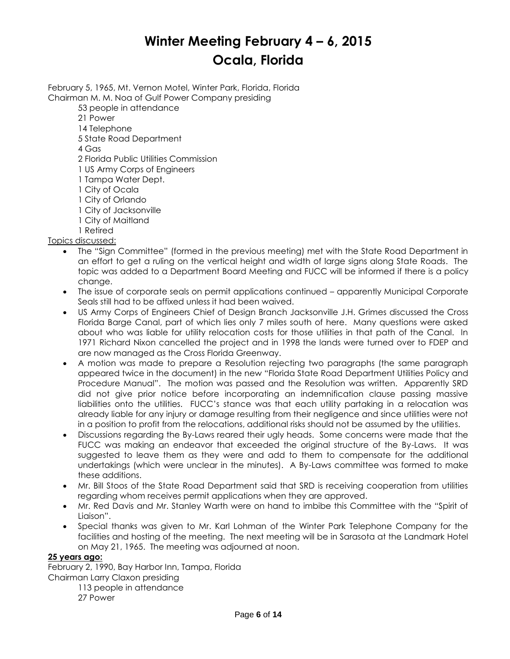February 5, 1965, Mt. Vernon Motel, Winter Park, Florida, Florida Chairman M. M. Noa of Gulf Power Company presiding

53 people in attendance

- 21 Power
- 14 Telephone
- 5 State Road Department

4 Gas

- 2 Florida Public Utilities Commission
- 1 US Army Corps of Engineers
- 1 Tampa Water Dept.
- 1 City of Ocala
- 1 City of Orlando
- 1 City of Jacksonville
- 1 City of Maitland
- 1 Retired

Topics discussed:

- The "Sign Committee" (formed in the previous meeting) met with the State Road Department in an effort to get a ruling on the vertical height and width of large signs along State Roads. The topic was added to a Department Board Meeting and FUCC will be informed if there is a policy change.
- The issue of corporate seals on permit applications continued apparently Municipal Corporate Seals still had to be affixed unless it had been waived.
- US Army Corps of Engineers Chief of Design Branch Jacksonville J.H. Grimes discussed the Cross Florida Barge Canal, part of which lies only 7 miles south of here. Many questions were asked about who was liable for utility relocation costs for those utilities in that path of the Canal. In 1971 Richard Nixon cancelled the project and in 1998 the lands were turned over to FDEP and are now managed as the Cross Florida Greenway.
- A motion was made to prepare a Resolution rejecting two paragraphs (the same paragraph appeared twice in the document) in the new "Florida State Road Department Utilities Policy and Procedure Manual". The motion was passed and the Resolution was written. Apparently SRD did not give prior notice before incorporating an indemnification clause passing massive liabilities onto the utilities. FUCC's stance was that each utility partaking in a relocation was already liable for any injury or damage resulting from their negligence and since utilities were not in a position to profit from the relocations, additional risks should not be assumed by the utilities.
- Discussions regarding the By-Laws reared their ugly heads. Some concerns were made that the FUCC was making an endeavor that exceeded the original structure of the By-Laws. It was suggested to leave them as they were and add to them to compensate for the additional undertakings (which were unclear in the minutes). A By-Laws committee was formed to make these additions.
- Mr. Bill Stoos of the State Road Department said that SRD is receiving cooperation from utilities regarding whom receives permit applications when they are approved.
- Mr. Red Davis and Mr. Stanley Warth were on hand to imbibe this Committee with the "Spirit of Liaison".
- Special thanks was given to Mr. Karl Lohman of the Winter Park Telephone Company for the facilities and hosting of the meeting. The next meeting will be in Sarasota at the Landmark Hotel on May 21, 1965. The meeting was adjourned at noon.

#### **25 years ago:**

February 2, 1990, Bay Harbor Inn, Tampa, Florida Chairman Larry Claxon presiding

113 people in attendance 27 Power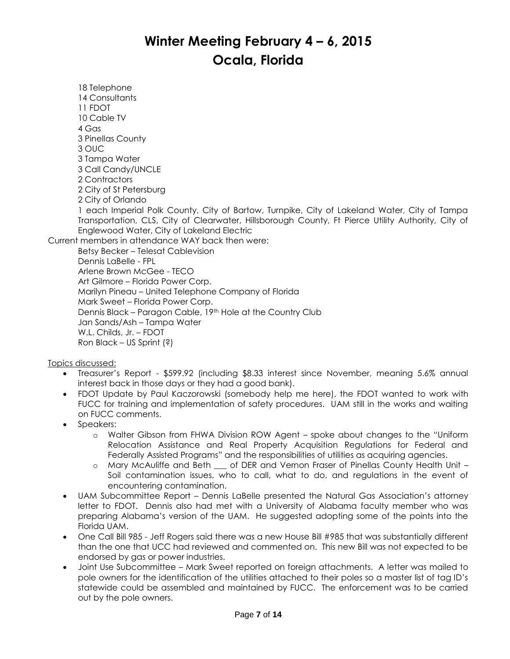18 Telephone 14 Consultants 11 FDOT 10 Cable TV 4 Gas 3 Pinellas County 3 OUC 3 Tampa Water 3 Call Candy/UNCLE 2 Contractors 2 City of St Petersburg 2 City of Orlando 1 each Imperial Polk County, City of Bartow, Turnpike, City of Lakeland Water, City of Tampa Transportation, CLS, City of Clearwater, Hillsborough County, Ft Pierce Utility Authority, City of Englewood Water, City of Lakeland Electric Current members in attendance WAY back then were: Betsy Becker – Telesat Cablevision Dennis LaBelle - FPL Arlene Brown McGee - TECO Art Gilmore – Florida Power Corp. Marilyn Pineau – United Telephone Company of Florida Mark Sweet – Florida Power Corp. Dennis Black – Paragon Cable, 19th Hole at the Country Club

on FUCC comments. • Speakers:

Topics discussed:

Jan Sands/Ash – Tampa Water

interest back in those days or they had a good bank).

W.L. Childs, Jr. – FDOT Ron Black – US Sprint (?)

- o Walter Gibson from FHWA Division ROW Agent spoke about changes to the "Uniform Relocation Assistance and Real Property Acquisition Regulations for Federal and Federally Assisted Programs" and the responsibilities of utilities as acquiring agencies.
- o Mary McAuliffe and Beth \_\_\_ of DER and Vernon Fraser of Pinellas County Health Unit Soil contamination issues, who to call, what to do, and regulations in the event of encountering contamination.
- UAM Subcommittee Report Dennis LaBelle presented the Natural Gas Association's attorney letter to FDOT. Dennis also had met with a University of Alabama faculty member who was preparing Alabama's version of the UAM. He suggested adopting some of the points into the Florida UAM.

Treasurer's Report - \$599.92 (including \$8.33 interest since November, meaning 5.6% annual

 FDOT Update by Paul Kaczorowski (somebody help me here), the FDOT wanted to work with FUCC for training and implementation of safety procedures. UAM still in the works and waiting

- One Call Bill 985 Jeff Rogers said there was a new House Bill #985 that was substantially different than the one that UCC had reviewed and commented on. This new Bill was not expected to be endorsed by gas or power industries.
- Joint Use Subcommittee Mark Sweet reported on foreign attachments. A letter was mailed to pole owners for the identification of the utilities attached to their poles so a master list of tag ID's statewide could be assembled and maintained by FUCC. The enforcement was to be carried out by the pole owners.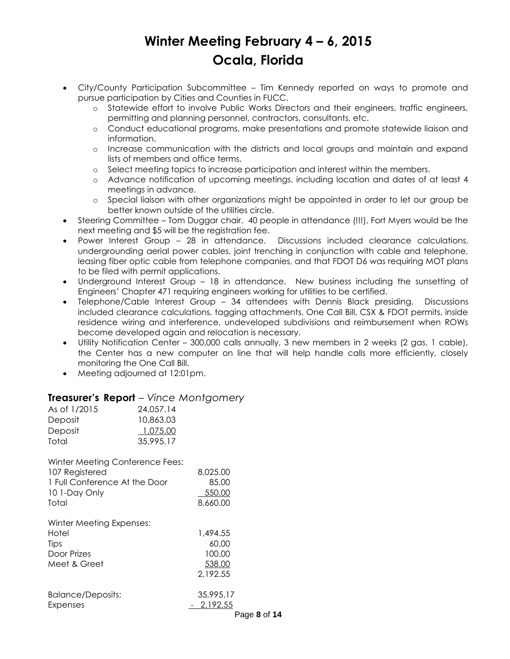- City/County Participation Subcommittee Tim Kennedy reported on ways to promote and pursue participation by Cities and Counties in FUCC.
	- o Statewide effort to involve Public Works Directors and their engineers, traffic engineers, permitting and planning personnel, contractors, consultants, etc.
	- o Conduct educational programs, make presentations and promote statewide liaison and information.
	- o Increase communication with the districts and local groups and maintain and expand lists of members and office terms.
	- o Select meeting topics to increase participation and interest within the members.
	- o Advance notification of upcoming meetings, including location and dates of at least 4 meetings in advance.
	- o Special liaison with other organizations might be appointed in order to let our group be better known outside of the utilities circle.
- Steering Committee Tom Duggar chair. 40 people in attendance (!!!), Fort Myers would be the next meeting and \$5 will be the registration fee.
- Power Interest Group 28 in attendance. Discussions included clearance calculations, undergrounding aerial power cables, joint trenching in conjunction with cable and telephone, leasing fiber optic cable from telephone companies, and that FDOT D6 was requiring MOT plans to be filed with permit applications.
- Underground Interest Group 18 in attendance. New business including the sunsetting of Engineers' Chapter 471 requiring engineers working for utilities to be certified.
- Telephone/Cable Interest Group 34 attendees with Dennis Black presiding. Discussions included clearance calculations, tagging attachments, One Call Bill, CSX & FDOT permits, inside residence wiring and interference, undeveloped subdivisions and reimbursement when ROWs become developed again and relocation is necessary.
- Utility Notification Center 300,000 calls annually, 3 new members in 2 weeks (2 gas, 1 cable), the Center has a new computer on line that will help handle calls more efficiently, closely monitoring the One Call Bill.
- Meeting adjourned at 12:01pm.

### **Treasurer's Report** – *Vince Montgomery*

| As of 1/2015 | 24,057.14 |
|--------------|-----------|
| Deposit      | 10,863.03 |
| Deposit      | 1.075.00  |
| Total        | 35.995.17 |

Winter Meeting Conference Fees:

| 8,025.00                     |
|------------------------------|
| 85.00                        |
| 550.00                       |
| 8,660.00                     |
|                              |
|                              |
| 1,494.55                     |
| 60.00                        |
| 100.00                       |
| 538.00                       |
| 2,192.55                     |
| 35,995.17                    |
|                              |
| $-2,192.55$<br><b>Dese 0</b> |
|                              |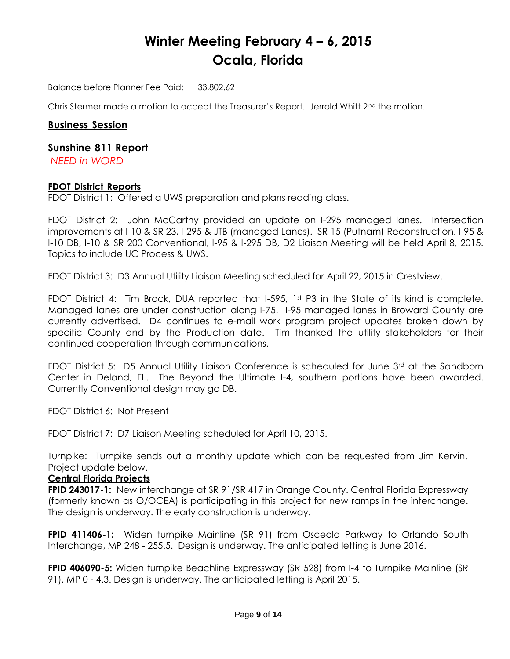Balance before Planner Fee Paid: 33,802.62

Chris Stermer made a motion to accept the Treasurer's Report. Jerrold Whitt  $2<sup>nd</sup>$  the motion.

#### **Business Session**

#### **Sunshine 811 Report**

*NEED in WORD*

#### **FDOT District Reports**

FDOT District 1: Offered a UWS preparation and plans reading class.

FDOT District 2: John McCarthy provided an update on I-295 managed lanes. Intersection improvements at I-10 & SR 23, I-295 & JTB (managed Lanes). SR 15 (Putnam) Reconstruction, I-95 & I-10 DB, I-10 & SR 200 Conventional, I-95 & I-295 DB, D2 Liaison Meeting will be held April 8, 2015. Topics to include UC Process & UWS.

FDOT District 3: D3 Annual Utility Liaison Meeting scheduled for April 22, 2015 in Crestview.

FDOT District 4: Tim Brock, DUA reported that I-595, 1st P3 in the State of its kind is complete. Managed lanes are under construction along I-75. I-95 managed lanes in Broward County are currently advertised. D4 continues to e-mail work program project updates broken down by specific County and by the Production date. Tim thanked the utility stakeholders for their continued cooperation through communications.

FDOT District 5: D5 Annual Utility Liaison Conference is scheduled for June 3<sup>rd</sup> at the Sandborn Center in Deland, FL. The Beyond the Ultimate I-4, southern portions have been awarded. Currently Conventional design may go DB.

FDOT District 6: Not Present

FDOT District 7: D7 Liaison Meeting scheduled for April 10, 2015.

Turnpike: Turnpike sends out a monthly update which can be requested from Jim Kervin. Project update below.

### **Central Florida Projects**

**FPID 243017-1:** New interchange at SR 91/SR 417 in Orange County. Central Florida Expressway (formerly known as O/OCEA) is participating in this project for new ramps in the interchange. The design is underway. The early construction is underway.

**FPID 411406-1:** Widen turnpike Mainline (SR 91) from Osceola Parkway to Orlando South Interchange, MP 248 - 255.5. Design is underway. The anticipated letting is June 2016.

**FPID 406090-5:** Widen turnpike Beachline Expressway (SR 528) from I-4 to Turnpike Mainline (SR 91), MP 0 - 4.3. Design is underway. The anticipated letting is April 2015.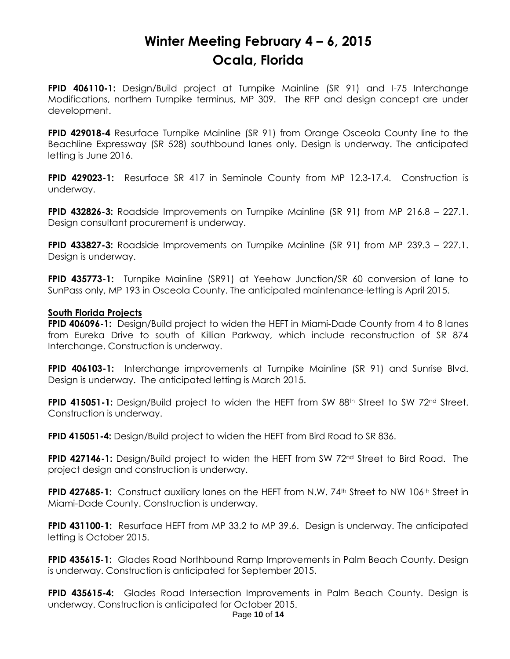**FPID 406110-1:** Design/Build project at Turnpike Mainline (SR 91) and I-75 Interchange Modifications, northern Turnpike terminus, MP 309. The RFP and design concept are under development.

**FPID 429018-4** Resurface Turnpike Mainline (SR 91) from Orange Osceola County line to the Beachline Expressway (SR 528) southbound lanes only. Design is underway. The anticipated letting is June 2016.

**FPID 429023-1:** Resurface SR 417 in Seminole County from MP 12.3-17.4. Construction is underway.

**FPID 432826-3:** Roadside Improvements on Turnpike Mainline (SR 91) from MP 216.8 – 227.1. Design consultant procurement is underway.

**FPID 433827-3:** Roadside Improvements on Turnpike Mainline (SR 91) from MP 239.3 – 227.1. Design is underway.

**FPID 435773-1:** Turnpike Mainline (SR91) at Yeehaw Junction/SR 60 conversion of lane to SunPass only, MP 193 in Osceola County. The anticipated maintenance-letting is April 2015.

#### **South Florida Projects**

**FPID 406096-1:** Design/Build project to widen the HEFT in Miami-Dade County from 4 to 8 lanes from Eureka Drive to south of Killian Parkway, which include reconstruction of SR 874 Interchange. Construction is underway.

**FPID 406103-1:** Interchange improvements at Turnpike Mainline (SR 91) and Sunrise Blvd. Design is underway. The anticipated letting is March 2015.

**FPID 415051-1:** Design/Build project to widen the HEFT from SW 88<sup>th</sup> Street to SW 72<sup>nd</sup> Street. Construction is underway.

**FPID 415051-4:** Design/Build project to widen the HEFT from Bird Road to SR 836.

**FPID 427146-1:** Design/Build project to widen the HEFT from SW 72<sup>nd</sup> Street to Bird Road. The project design and construction is underway.

**FPID 427685-1:** Construct auxiliary lanes on the HEFT from N.W. 74<sup>th</sup> Street to NW 106<sup>th</sup> Street in Miami-Dade County. Construction is underway.

**FPID 431100-1:** Resurface HEFT from MP 33.2 to MP 39.6. Design is underway. The anticipated letting is October 2015.

**FPID 435615-1:** Glades Road Northbound Ramp Improvements in Palm Beach County. Design is underway. Construction is anticipated for September 2015.

**FPID 435615-4:** Glades Road Intersection Improvements in Palm Beach County. Design is underway. Construction is anticipated for October 2015.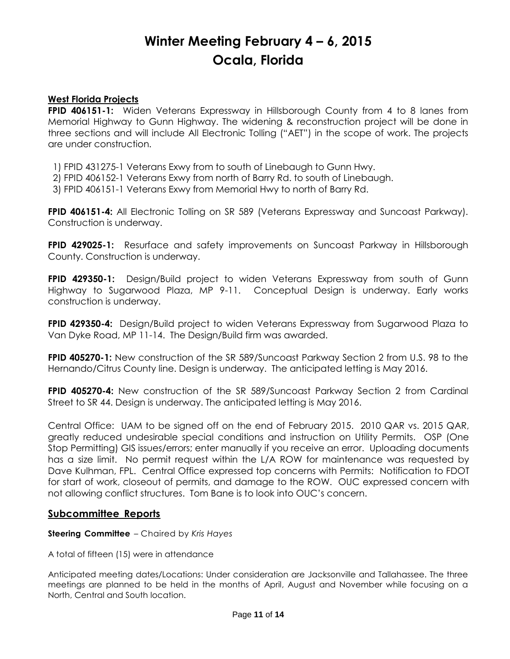#### **West Florida Projects**

**FPID 406151-1:** Widen Veterans Expressway in Hillsborough County from 4 to 8 lanes from Memorial Highway to Gunn Highway. The widening & reconstruction project will be done in three sections and will include All Electronic Tolling ("AET") in the scope of work. The projects are under construction.

1) FPID 431275-1 Veterans Exwy from to south of Linebaugh to Gunn Hwy.

2) FPID 406152-1 Veterans Exwy from north of Barry Rd. to south of Linebaugh.

3) FPID 406151-1 Veterans Exwy from Memorial Hwy to north of Barry Rd.

**FPID 406151-4:** All Electronic Tolling on SR 589 (Veterans Expressway and Suncoast Parkway). Construction is underway.

**FPID 429025-1:** Resurface and safety improvements on Suncoast Parkway in Hillsborough County. Construction is underway.

**FPID 429350-1:** Design/Build project to widen Veterans Expressway from south of Gunn Highway to Sugarwood Plaza, MP 9-11. Conceptual Design is underway. Early works construction is underway.

**FPID 429350-4:** Design/Build project to widen Veterans Expressway from Sugarwood Plaza to Van Dyke Road, MP 11-14. The Design/Build firm was awarded.

**FPID 405270-1:** New construction of the SR 589/Suncoast Parkway Section 2 from U.S. 98 to the Hernando/Citrus County line. Design is underway. The anticipated letting is May 2016.

**FPID 405270-4:** New construction of the SR 589/Suncoast Parkway Section 2 from Cardinal Street to SR 44. Design is underway. The anticipated letting is May 2016.

Central Office: UAM to be signed off on the end of February 2015. 2010 QAR vs. 2015 QAR, greatly reduced undesirable special conditions and instruction on Utility Permits. OSP (One Stop Permitting) GIS issues/errors; enter manually if you receive an error. Uploading documents has a size limit. No permit request within the L/A ROW for maintenance was requested by Dave Kulhman, FPL. Central Office expressed top concerns with Permits: Notification to FDOT for start of work, closeout of permits, and damage to the ROW. OUC expressed concern with not allowing conflict structures. Tom Bane is to look into OUC's concern.

### **Subcommittee Reports**

#### **Steering Committee** – Chaired by *Kris Hayes*

A total of fifteen (15) were in attendance

Anticipated meeting dates/Locations: Under consideration are Jacksonville and Tallahassee. The three meetings are planned to be held in the months of April, August and November while focusing on a North, Central and South location.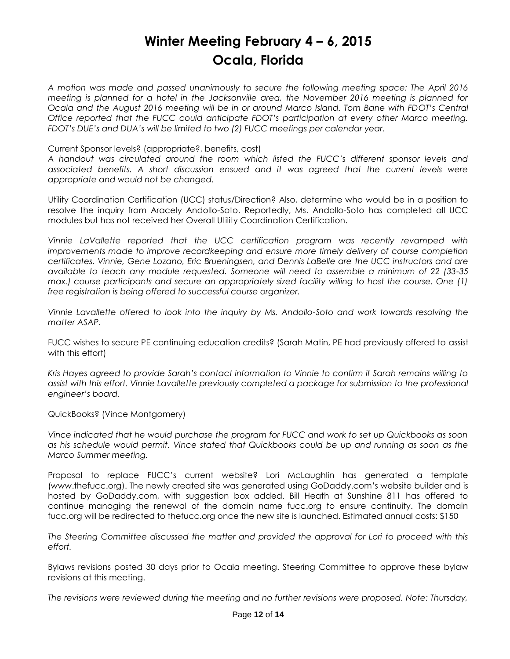*A motion was made and passed unanimously to secure the following meeting space: The April 2016 meeting is planned for a hotel in the Jacksonville area, the November 2016 meeting is planned for Ocala and the August 2016 meeting will be in or around Marco Island. Tom Bane with FDOT's Central Office reported that the FUCC could anticipate FDOT's participation at every other Marco meeting. FDOT's DUE's and DUA's will be limited to two (2) FUCC meetings per calendar year.* 

#### Current Sponsor levels? (appropriate?, benefits, cost)

*A handout was circulated around the room which listed the FUCC's different sponsor levels and associated benefits. A short discussion ensued and it was agreed that the current levels were appropriate and would not be changed.*

Utility Coordination Certification (UCC) status/Direction? Also, determine who would be in a position to resolve the inquiry from Aracely Andollo-Soto. Reportedly, Ms. Andollo-Soto has completed all UCC modules but has not received her Overall Utility Coordination Certification.

*Vinnie LaVallette reported that the UCC certification program was recently revamped with*  improvements made to improve recordkeeping and ensure more timely delivery of course completion *certificates. Vinnie, Gene Lozano, Eric Brueningsen, and Dennis LaBelle are the UCC instructors and are available to teach any module requested. Someone will need to assemble a minimum of 22 (33-35 max.)* course participants and secure an appropriately sized facility willing to host the course. One (1) *free registration is being offered to successful course organizer.* 

*Vinnie Lavallette offered to look into the inquiry by Ms. Andollo-Soto and work towards resolving the matter ASAP.* 

FUCC wishes to secure PE continuing education credits? (Sarah Matin, PE had previously offered to assist with this effort)

*Kris Hayes agreed to provide Sarah's contact information to Vinnie to confirm if Sarah remains willing to assist with this effort. Vinnie Lavallette previously completed a package for submission to the professional engineer's board.* 

QuickBooks? (Vince Montgomery)

*Vince indicated that he would purchase the program for FUCC and work to set up Quickbooks as soon as his schedule would permit. Vince stated that Quickbooks could be up and running as soon as the Marco Summer meeting.* 

Proposal to replace FUCC's current website? Lori McLaughlin has generated a template [\(www.thefucc.org\)](http://www.fucc.org/). The newly created site was generated using GoDaddy.com's website builder and is hosted by GoDaddy.com, with suggestion box added. Bill Heath at Sunshine 811 has offered to continue managing the renewal of the domain name fucc.org to ensure continuity. The domain fucc.org will be redirected to thefucc.org once the new site is launched. Estimated annual costs: \$150

*The Steering Committee discussed the matter and provided the approval for Lori to proceed with this effort.*

Bylaws revisions posted 30 days prior to Ocala meeting. Steering Committee to approve these bylaw revisions at this meeting.

*The revisions were reviewed during the meeting and no further revisions were proposed. Note: Thursday,*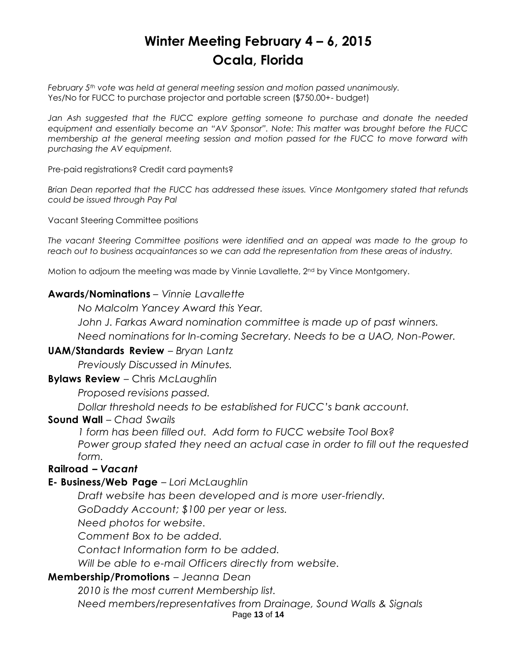*February 5th vote was held at general meeting session and motion passed unanimously.*  Yes/No for FUCC to purchase projector and portable screen (\$750.00+- budget)

*Jan Ash suggested that the FUCC explore getting someone to purchase and donate the needed equipment and essentially become an "AV Sponsor". Note: This matter was brought before the FUCC membership at the general meeting session and motion passed for the FUCC to move forward with purchasing the AV equipment.* 

Pre-paid registrations? Credit card payments?

*Brian Dean reported that the FUCC has addressed these issues. Vince Montgomery stated that refunds could be issued through Pay Pal*

Vacant Steering Committee positions

*The vacant Steering Committee positions were identified and an appeal was made to the group to reach out to business acquaintances so we can add the representation from these areas of industry.*

Motion to adjourn the meeting was made by Vinnie Lavallette, 2<sup>nd</sup> by Vince Montgomery.

### **Awards/Nominations** – *Vinnie Lavallette*

*No Malcolm Yancey Award this Year.* 

*John J. Farkas Award nomination committee is made up of past winners.*

*Need nominations for In-coming Secretary. Needs to be a UAO, Non-Power.*

### **UAM/Standards Review** – *Bryan Lantz*

*Previously Discussed in Minutes.*

### **Bylaws Review** – Chris *McLaughlin*

*Proposed revisions passed.*

*Dollar threshold needs to be established for FUCC's bank account.*

#### **Sound Wall** – *Chad Swails*

*1 form has been filled out. Add form to FUCC website Tool Box? Power group stated they need an actual case in order to fill out the requested form.*

### **Railroad** *– Vacant*

### **E- Business/Web Page** – *Lori McLaughlin*

*Draft website has been developed and is more user-friendly.*

*GoDaddy Account; \$100 per year or less.*

*Need photos for website.*

*Comment Box to be added.*

*Contact Information form to be added.*

*Will be able to e-mail Officers directly from website.*

### **Membership/Promotions** – *Jeanna Dean*

*2010 is the most current Membership list.*

*Need members/representatives from Drainage, Sound Walls & Signals*